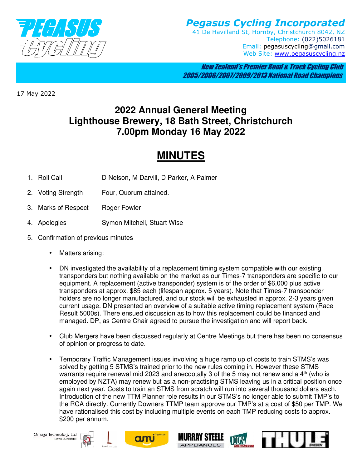

*Pegasus Cycling Incorporated*  41 De Havilland St, Hornby, Christchurch 8042, NZ Telephone: (022)5026181 Email: pegasuscycling@gmail.com Web Site: www.pegasuscycling.nz

 New Zealand's Premier Road & Track Cycling Club 2005/2006/2007/2009/2013 National Road Champions

17 May 2022

## **2022 Annual General Meeting Lighthouse Brewery, 18 Bath Street, Christchurch 7.00pm Monday 16 May 2022**

## **MINUTES**

- 1. Roll Call D Nelson, M Darvill, D Parker, A Palmer
- 2. Voting Strength Four, Quorum attained.
- 3. Marks of Respect Roger Fowler
- 4. Apologies Symon Mitchell, Stuart Wise
- 5. Confirmation of previous minutes
	- Matters arising:
	- DN investigated the availability of a replacement timing system compatible with our existing transponders but nothing available on the market as our Times-7 transponders are specific to our equipment. A replacement (active transponder) system is of the order of \$6,000 plus active transponders at approx. \$85 each (lifespan approx. 5 years). Note that Times-7 transponder holders are no longer manufactured, and our stock will be exhausted in approx. 2-3 years given current usage. DN presented an overview of a suitable active timing replacement system (Race Result 5000s). There ensued discussion as to how this replacement could be financed and managed. DP, as Centre Chair agreed to pursue the investigation and will report back.
	- Club Mergers have been discussed regularly at Centre Meetings but there has been no consensus of opinion or progress to date.
	- Temporary Traffic Management issues involving a huge ramp up of costs to train STMS's was solved by getting 5 STMS's trained prior to the new rules coming in. However these STMS warrants require renewal mid 2023 and anecdotally 3 of the 5 may not renew and a  $4<sup>th</sup>$  (who is employed by NZTA) may renew but as a non-practising STMS leaving us in a critical position once again next year. Costs to train an STMS from scratch will run into several thousand dollars each. Introduction of the new TTM Planner role results in our STMS's no longer able to submit TMP's to the RCA directly. Currently Downers TTMP team approve our TMP's at a cost of \$50 per TMP. We have rationalised this cost by including multiple events on each TMP reducing costs to approx. \$200 per annum.







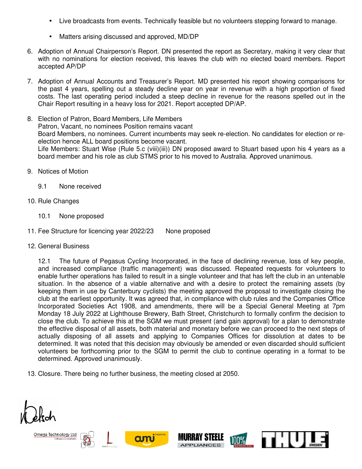- Live broadcasts from events. Technically feasible but no volunteers stepping forward to manage.
- Matters arising discussed and approved, MD/DP
- 6. Adoption of Annual Chairperson's Report. DN presented the report as Secretary, making it very clear that with no nominations for election received, this leaves the club with no elected board members. Report accepted AP/DP
- 7. Adoption of Annual Accounts and Treasurer's Report. MD presented his report showing comparisons for the past 4 years, spelling out a steady decline year on year in revenue with a high proportion of fixed costs. The last operating period included a steep decline in revenue for the reasons spelled out in the Chair Report resulting in a heavy loss for 2021. Report accepted DP/AP.
- 8. Election of Patron, Board Members, Life Members Patron, Vacant, no nominees Position remains vacant Board Members, no nominees. Current incumbents may seek re-election. No candidates for election or reelection hence ALL board positions become vacant. Life Members: Stuart Wise (Rule 5.c (viii)(iii)) DN proposed award to Stuart based upon his 4 years as a board member and his role as club STMS prior to his moved to Australia. Approved unanimous.
- 9. Notices of Motion
	- 9.1 None received
- 10. Rule Changes
	- 10.1 None proposed
- 11. Fee Structure for licencing year 2022/23 None proposed
- 12. General Business

12.1 The future of Pegasus Cycling Incorporated, in the face of declining revenue, loss of key people, and increased compliance (traffic management) was discussed. Repeated requests for volunteers to enable further operations has failed to result in a single volunteer and that has left the club in an untenable situation. In the absence of a viable alternative and with a desire to protect the remaining assets (by keeping them in use by Canterbury cyclists) the meeting approved the proposal to investigate closing the club at the earliest opportunity. It was agreed that, in compliance with club rules and the Companies Office Incorporated Societies Act 1908, and amendments, there will be a Special General Meeting at 7pm Monday 18 July 2022 at Lighthouse Brewery, Bath Street, Christchurch to formally confirm the decision to close the club. To achieve this at the SGM we must present (and gain approval) for a plan to demonstrate the effective disposal of all assets, both material and monetary before we can proceed to the next steps of actually disposing of all assets and applying to Companies Offices for dissolution at dates to be determined. It was noted that this decision may obviously be amended or even discarded should sufficient volunteers be forthcoming prior to the SGM to permit the club to continue operating in a format to be determined. Approved unanimously.

13. Closure. There being no further business, the meeting closed at 2050.